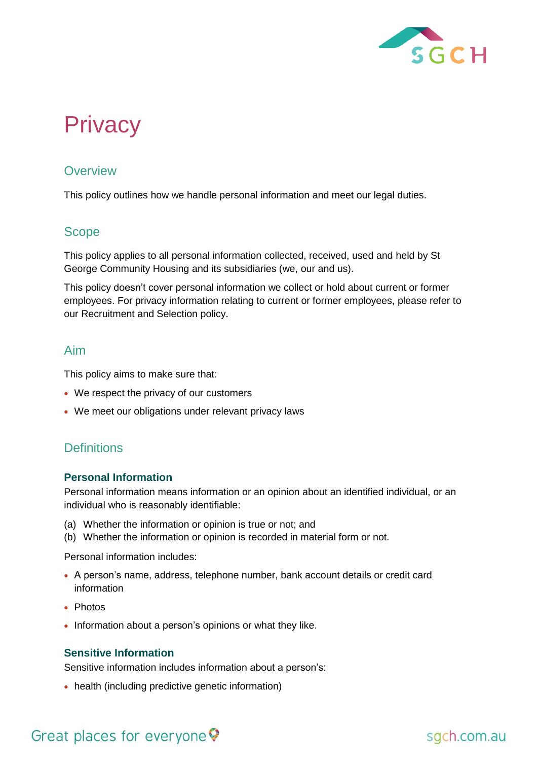

# **Privacy**

## **Overview**

This policy outlines how we handle personal information and meet our legal duties.

# Scope

This policy applies to all personal information collected, received, used and held by St George Community Housing and its subsidiaries (we, our and us).

This policy doesn't cover personal information we collect or hold about current or former employees. For privacy information relating to current or former employees, please refer to our Recruitment and Selection policy.

## Aim

This policy aims to make sure that:

- We respect the privacy of our customers
- We meet our obligations under relevant privacy laws

# **Definitions**

#### **Personal Information**

Personal information means information or an opinion about an identified individual, or an individual who is reasonably identifiable:

- (a) Whether the information or opinion is true or not; and
- (b) Whether the information or opinion is recorded in material form or not.

Personal information includes:

- A person's name, address, telephone number, bank account details or credit card information
- Photos
- Information about a person's opinions or what they like.

#### **Sensitive Information**

Sensitive information includes information about a person's:

• health (including predictive genetic information)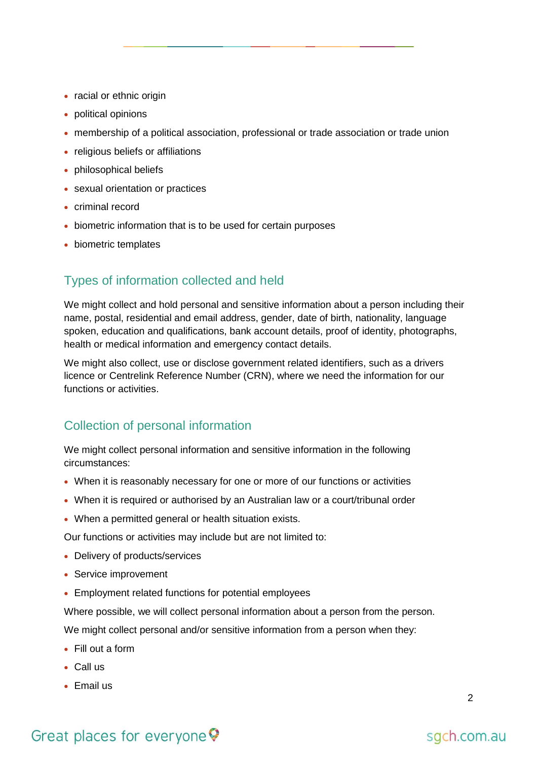- racial or ethnic origin
- political opinions
- membership of a political association, professional or trade association or trade union
- religious beliefs or affiliations
- philosophical beliefs
- sexual orientation or practices
- criminal record
- biometric information that is to be used for certain purposes
- biometric templates

## Types of information collected and held

We might collect and hold personal and sensitive information about a person including their name, postal, residential and email address, gender, date of birth, nationality, language spoken, education and qualifications, bank account details, proof of identity, photographs, health or medical information and emergency contact details.

We might also collect, use or disclose government related identifiers, such as a drivers licence or Centrelink Reference Number (CRN), where we need the information for our functions or activities.

## Collection of personal information

We might collect personal information and sensitive information in the following circumstances:

- When it is reasonably necessary for one or more of our functions or activities
- When it is required or authorised by an Australian law or a court/tribunal order
- When a permitted general or health situation exists.

Our functions or activities may include but are not limited to:

- Delivery of products/services
- Service improvement
- Employment related functions for potential employees

Where possible, we will collect personal information about a person from the person.

We might collect personal and/or sensitive information from a person when they:

- Fill out a form
- Call us
- Email us

# Great places for everyone  $\heartsuit$

sgch.com.au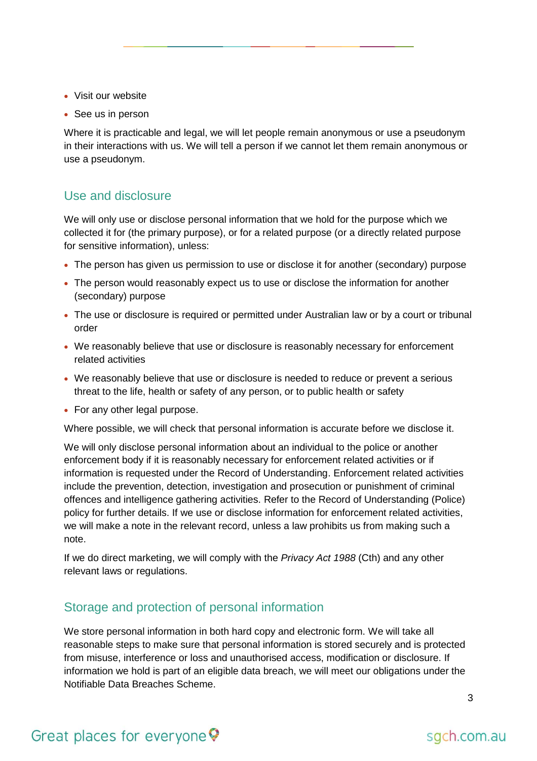- Visit our website
- See us in person

Where it is practicable and legal, we will let people remain anonymous or use a pseudonym in their interactions with us. We will tell a person if we cannot let them remain anonymous or use a pseudonym.

#### Use and disclosure

We will only use or disclose personal information that we hold for the purpose which we collected it for (the primary purpose), or for a related purpose (or a directly related purpose for sensitive information), unless:

- The person has given us permission to use or disclose it for another (secondary) purpose
- The person would reasonably expect us to use or disclose the information for another (secondary) purpose
- The use or disclosure is required or permitted under Australian law or by a court or tribunal order
- We reasonably believe that use or disclosure is reasonably necessary for enforcement related activities
- We reasonably believe that use or disclosure is needed to reduce or prevent a serious threat to the life, health or safety of any person, or to public health or safety
- For any other legal purpose.

Where possible, we will check that personal information is accurate before we disclose it.

We will only disclose personal information about an individual to the police or another enforcement body if it is reasonably necessary for enforcement related activities or if information is requested under the Record of Understanding. Enforcement related activities include the prevention, detection, investigation and prosecution or punishment of criminal offences and intelligence gathering activities. Refer to the Record of Understanding (Police) policy for further details. If we use or disclose information for enforcement related activities, we will make a note in the relevant record, unless a law prohibits us from making such a note.

If we do direct marketing, we will comply with the *Privacy Act 1988* (Cth) and any other relevant laws or regulations.

#### Storage and protection of personal information

We store personal information in both hard copy and electronic form. We will take all reasonable steps to make sure that personal information is stored securely and is protected from misuse, interference or loss and unauthorised access, modification or disclosure. If information we hold is part of an eligible data breach, we will meet our obligations under the Notifiable Data Breaches Scheme.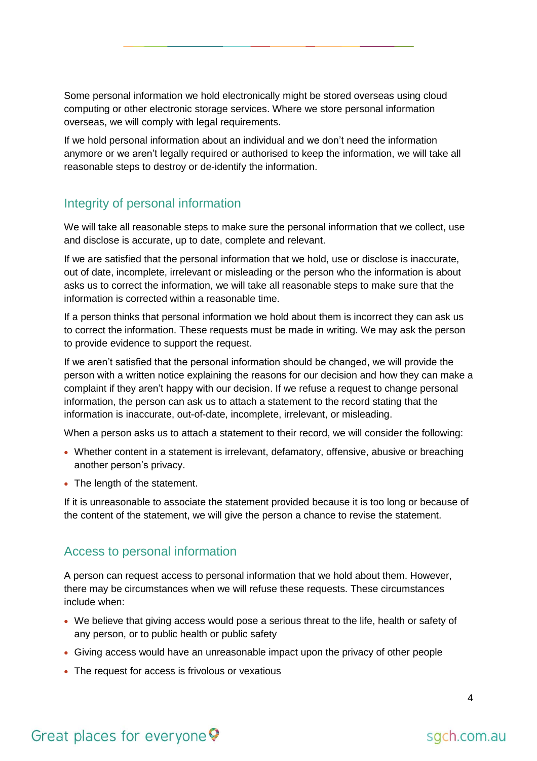Some personal information we hold electronically might be stored overseas using cloud computing or other electronic storage services. Where we store personal information overseas, we will comply with legal requirements.

If we hold personal information about an individual and we don't need the information anymore or we aren't legally required or authorised to keep the information, we will take all reasonable steps to destroy or de-identify the information.

# Integrity of personal information

We will take all reasonable steps to make sure the personal information that we collect, use and disclose is accurate, up to date, complete and relevant.

If we are satisfied that the personal information that we hold, use or disclose is inaccurate, out of date, incomplete, irrelevant or misleading or the person who the information is about asks us to correct the information, we will take all reasonable steps to make sure that the information is corrected within a reasonable time.

If a person thinks that personal information we hold about them is incorrect they can ask us to correct the information. These requests must be made in writing. We may ask the person to provide evidence to support the request.

If we aren't satisfied that the personal information should be changed, we will provide the person with a written notice explaining the reasons for our decision and how they can make a complaint if they aren't happy with our decision. If we refuse a request to change personal information, the person can ask us to attach a statement to the record stating that the information is inaccurate, out-of-date, incomplete, irrelevant, or misleading.

When a person asks us to attach a statement to their record, we will consider the following:

- Whether content in a statement is irrelevant, defamatory, offensive, abusive or breaching another person's privacy.
- The length of the statement.

If it is unreasonable to associate the statement provided because it is too long or because of the content of the statement, we will give the person a chance to revise the statement.

## Access to personal information

A person can request access to personal information that we hold about them. However, there may be circumstances when we will refuse these requests. These circumstances include when:

- We believe that giving access would pose a serious threat to the life, health or safety of any person, or to public health or public safety
- Giving access would have an unreasonable impact upon the privacy of other people
- The request for access is frivolous or vexatious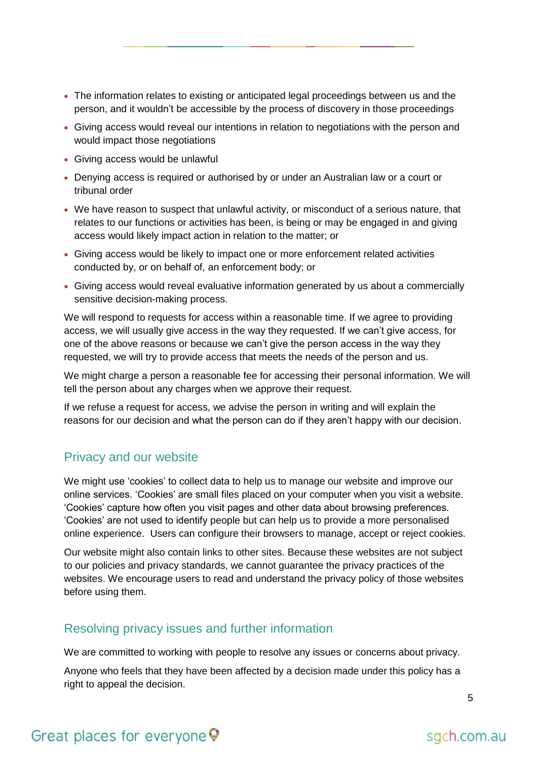- The information relates to existing or anticipated legal proceedings between us and the person, and it wouldn't be accessible by the process of discovery in those proceedings
- Giving access would reveal our intentions in relation to negotiations with the person and would impact those negotiations
- Giving access would be unlawful
- Denying access is required or authorised by or under an Australian law or a court or tribunal order
- We have reason to suspect that unlawful activity, or misconduct of a serious nature, that relates to our functions or activities has been, is being or may be engaged in and giving access would likely impact action in relation to the matter; or
- Giving access would be likely to impact one or more enforcement related activities conducted by, or on behalf of, an enforcement body; or
- Giving access would reveal evaluative information generated by us about a commercially sensitive decision-making process.

We will respond to requests for access within a reasonable time. If we agree to providing access, we will usually give access in the way they requested. If we can't give access, for one of the above reasons or because we can't give the person access in the way they requested, we will try to provide access that meets the needs of the person and us.

We might charge a person a reasonable fee for accessing their personal information. We will tell the person about any charges when we approve their request.

If we refuse a request for access, we advise the person in writing and will explain the reasons for our decision and what the person can do if they aren't happy with our decision.

#### Privacy and our website

We might use 'cookies' to collect data to help us to manage our website and improve our online services. 'Cookies' are small files placed on your computer when you visit a website. 'Cookies' capture how often you visit pages and other data about browsing preferences. 'Cookies' are not used to identify people but can help us to provide a more personalised online experience. Users can configure their browsers to manage, accept or reject cookies.

Our website might also contain links to other sites. Because these websites are not subject to our policies and privacy standards, we cannot guarantee the privacy practices of the websites. We encourage users to read and understand the privacy policy of those websites before using them.

## Resolving privacy issues and further information

We are committed to working with people to resolve any issues or concerns about privacy.

Anyone who feels that they have been affected by a decision made under this policy has a right to appeal the decision.